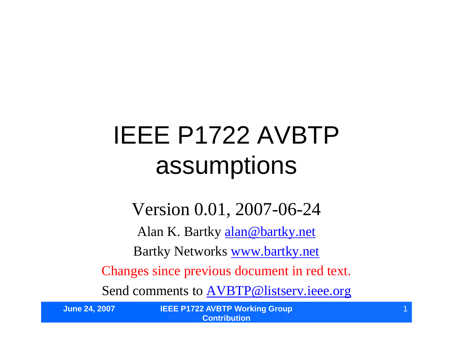# IEEE P1722 AVBTP assumptions

Version 0.01, 2007-06-24

Alan K. Bartky alan@bartky.net

Bartky Networks www.bartky.net

Changes since previous document in red text.

Send comments to **AVBTP@listserv.ieee.org** 

**June 24, 2007 IEEE P1722 AVBTP Working Group Contribution**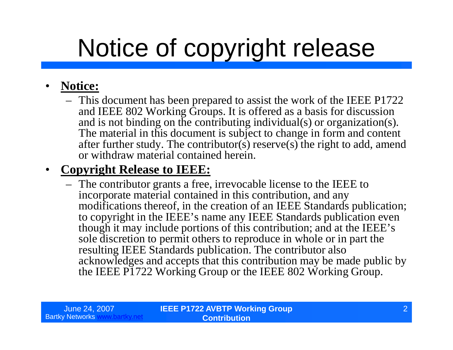# Notice of copyright release

#### • **Notice:**

– This document has been prepared to assist the work of the IEEE P1722 and IEEE 802 Working Groups. It is offered as a basis for discussion and is not binding on the contributing individual(s) or organization(s). The material in this document is subject to change in form and content after further study. The contributor(s) reserve(s) the right to add, amend or withdraw material contained herein.

#### • **Copyright Release to IEEE:**

– The contributor grants a free, irrevocable license to the IEEE to incorporate material contained in this contribution, and any modifications thereof, in the creation of an IEEE Standards publication; to copyright in the IEEE's name any IEEE Standards publication even though it may include portions of this contribution; and at the IEEE's sole discretion to permit others to reproduce in whole or in part the resulting IEEE Standards publication. The contributor also acknowledges and accepts that this contribution may be made public by the IEEE P1722 Working Group or the IEEE 802 Working Group.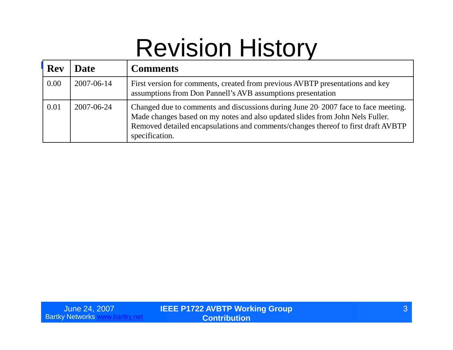#### Revision History

| <b>Rev</b> | <b>Date</b> | <b>Comments</b>                                                                                                                                                                                                                                                                  |
|------------|-------------|----------------------------------------------------------------------------------------------------------------------------------------------------------------------------------------------------------------------------------------------------------------------------------|
| 0.00       | 2007-06-14  | First version for comments, created from previous AVBTP presentations and key<br>assumptions from Don Pannell's AVB assumptions presentation                                                                                                                                     |
| 0.01       | 2007-06-24  | Changed due to comments and discussions during June $20\cdot 2007$ face to face meeting.<br>Made changes based on my notes and also updated slides from John Nels Fuller.<br>Removed detailed encapsulations and comments/changes thereof to first draft AVBTP<br>specification. |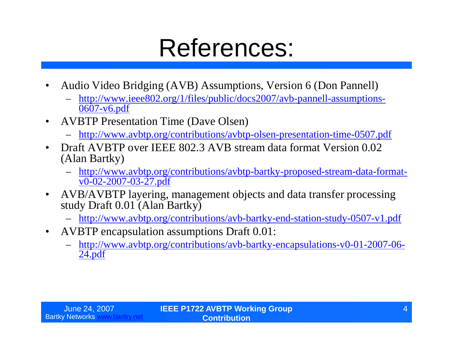#### References:

- Audio Video Bridging (AVB) Assumptions, Version 6 (Don Pannell)
	- http://www.ieee802.org/1/files/public/docs2007/avb-pannell-assumptions-0607-v6.pdf
- AVBTP Presentation Time (Dave Olsen)
	- http://www.avbtp.org/contributions/avbtp-olsen-presentation-time-0507.pdf
- Draft AVBTP over IEEE 802.3 AVB stream data format Version 0.02 (Alan Bartky)
	- http://www.avbtp.org/contributions/avbtp-bartky-proposed-stream-data-formatv0-02-2007-03-27.pdf
- AVB/AVBTP layering, management objects and data transfer processing study Draft 0.01 (Alan Bartky)
	- http://www.avbtp.org/contributions/avb-bartky-end-station-study-0507-v1.pdf
- AVBTP encapsulation assumptions Draft 0.01:
	- http://www.avbtp.org/contributions/avb-bartky-encapsulations-v0-01-2007-06- 24.pdf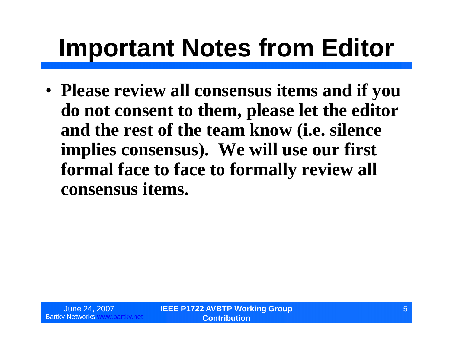# **Important Notes from Editor**

•**Please review all consensus items and if you do not consent to them, please let the editor and the rest of the team know (i.e. silence implies consensus). We will use our first formal face to face to formally review all consensus items.**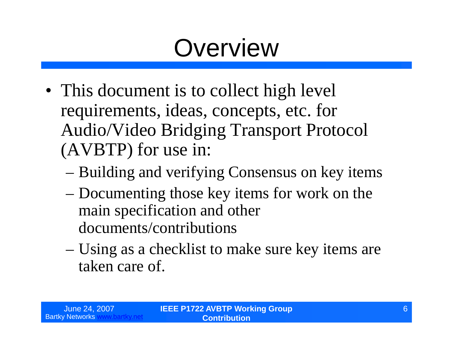#### **Overview**

- This document is to collect high level requirements, ideas, concepts, etc. for Audio/Video Bridging Transport Protocol (AVBTP) for use in:
	- –Building and verifying Consensus on key items
	- –Documenting those key items for work on the main specification and other documents/contributions
	- –Using as a checklist to make sure key items are taken care of.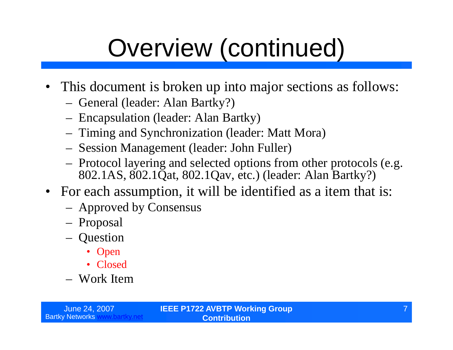# Overview (continued)

- This document is broken up into major sections as follows:
	- General (leader: Alan Bartky?)
	- Encapsulation (leader: Alan Bartky)
	- Timing and Synchronization (leader: Matt Mora)
	- Session Management (leader: John Fuller)
	- Protocol layering and selected options from other protocols (e.g. 802.1AS, 802.1Qat, 802.1Qav, etc.) (leader: Alan Bartky?)
- For each assumption, it will be identified as a item that is:
	- Approved by Consensus
	- Proposal
	- Question
		- Open
		- Closed

– Work Item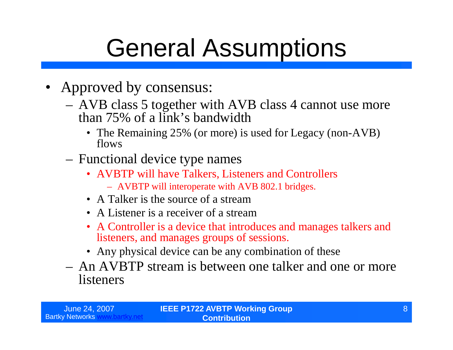- Approved by consensus:
	- AVB class 5 together with AVB class 4 cannot use more than 75% of a link's bandwidth
		- The Remaining 25% (or more) is used for Legacy (non-AVB) flows
	- Functional device type names
		- AVBTP will have Talkers, Listeners and Controllers
			- AVBTP will interoperate with AVB 802.1 bridges.
		- A Talker is the source of a stream
		- A Listener is a receiver of a stream
		- •A Controller is a device that introduces and manages talkers and listeners, and manages groups of sessions.
		- Any physical device can be any combination of these
	- An AVBTP stream is between one talker and one or more listeners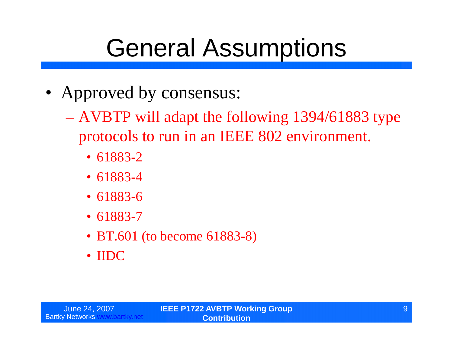- Approved by consensus:
	- –AVBTP will adapt the following 1394/61883 type protocols to run in an IEEE 802 environment.
		- •61883-2
		- •61883-4
		- •61883-6
		- •61883-7
		- BT.601 (to become 61883-8)
		- IIDC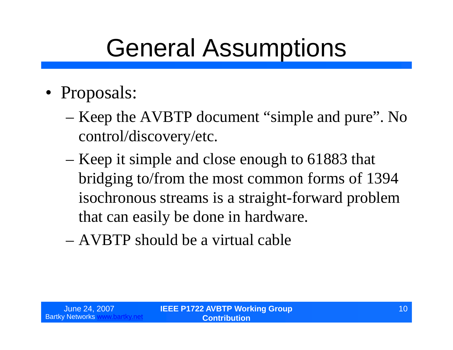- Proposals:
	- –Keep the AVBTP document "simple and pure". No control/discovery/etc.
	- –Keep it simple and close enough to 61883 that bridging to/from the most common forms of 1394 isochronous streams is a straight-forward problem that can easily be done in hardware.
	- –AVBTP should be a virtual cable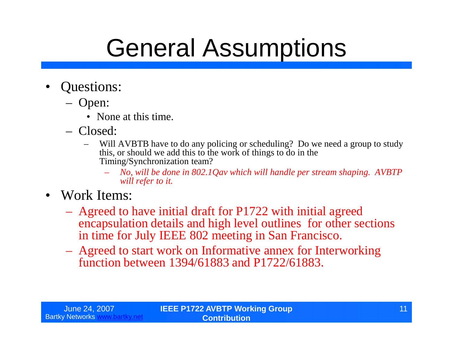- Questions:
	- Open:
		- None at this time.
	- Closed:
		- Will AVBTB have to do any policing or scheduling? Do we need a group to study this, or should we add this to the work of things to do in the Timing/Synchronization team?
			- *No, will be done in 802.1Qav which will handle per stream shaping. AVBTP will refer to it.*
- Work Items:
	- Agreed to have initial draft for P1722 with initial agreed encapsulation details and high level outlines for other sections in time for July IEEE 802 meeting in San Francisco.
	- Agreed to start work on Informative annex for Interworking function between 1394/61883 and P1722/61883.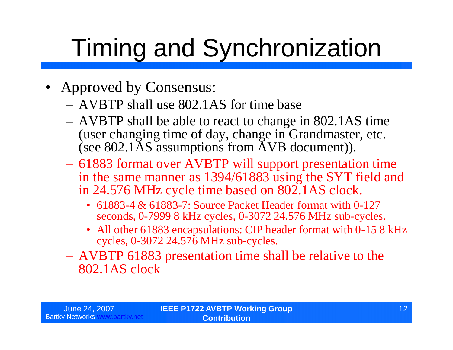# Timing and Synchronization

- Approved by Consensus:
	- AVBTP shall use 802.1AS for time base
	- AVBTP shall be able to react to change in 802.1AS time (user changing time of day, change in Grandmaster, etc. (see 802.1AS assumptions from AVB document)).
	- 61883 format over AVBTP will support presentation time in the same manner as 1394/61883 using the SYT field and in 24.576 MHz cycle time based on 802.1AS clock.
		- 61883-4 & 61883-7: Source Packet Header format with 0-127 seconds, 0-7999 8 kHz cycles, 0-3072 24.576 MHz sub-cycles.
		- All other 61883 encapsulations: CIP header format with 0-15 8 kHz cycles, 0-3072 24.576 MHz sub-cycles.
	- AVBTP 61883 presentation time shall be relative to the 802.1AS clock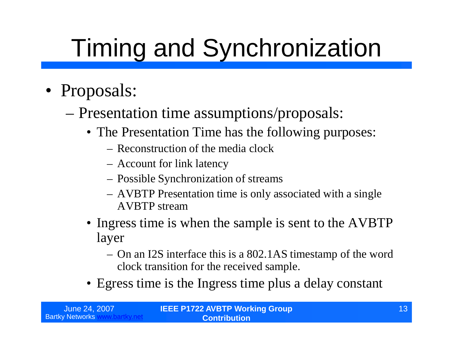# Timing and Synchronization

- Proposals:
	- –Presentation time assumptions/proposals:
		- The Presentation Time has the following purposes:
			- –Reconstruction of the media clock
			- –Account for link latency
			- –Possible Synchronization of streams
			- –AVBTP Presentation time is only associated with a single AVBTP stream
		- Ingress time is when the sample is sent to the AVBTP layer
			- –On an I2S interface this is a 802.1AS timestamp of the word clock transition for the received sample.
		- Egress time is the Ingress time plus a delay constant

| June 24, 2007          | <b>IEEE P1722 AVBTP Working Group</b> |  |
|------------------------|---------------------------------------|--|
| <b>Bartky Networks</b> | <b>Contribution</b> \                 |  |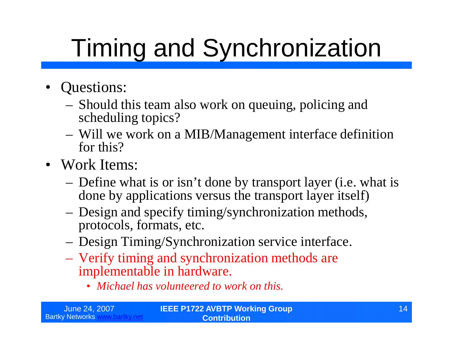# Timing and Synchronization

- Questions:
	- Should this team also work on queuing, policing and scheduling topics?
	- Will we work on a MIB/Management interface definition for this?
- Work Items:
	- Define what is or isn't done by transport layer (i.e. what is done by applications versus the transport layer itself)
	- Design and specify timing/synchronization methods, protocols, formats, etc.
	- Design Timing/Synchronization service interface.
	- Verify timing and synchronization methods are implementable in hardware.

•*Michael has volunteered to work on this.*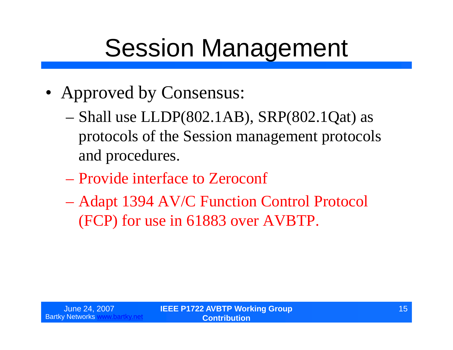- Approved by Consensus:
	- –Shall use LLDP(802.1AB), SRP(802.1Qat) as protocols of the Session management protocols and procedures.
	- –Provide interface to Zeroconf
	- –Adapt 1394 AV/C Function Control Protocol (FCP) for use in 61883 over AVBTP.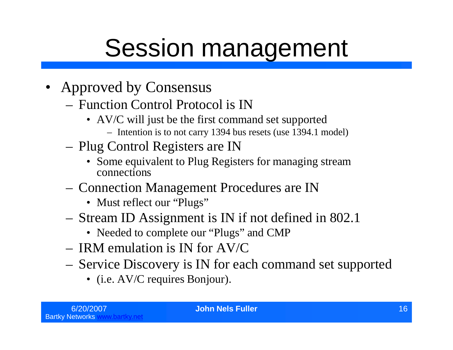- Approved by Consensus
	- Function Control Protocol is IN
		- AV/C will just be the first command set supported
			- Intention is to not carry 1394 bus resets (use 1394.1 model)
	- Plug Control Registers are IN
		- Some equivalent to Plug Registers for managing stream connections
	- Connection Management Procedures are IN
		- Must reflect our "Plugs"
	- Stream ID Assignment is IN if not defined in 802.1
		- Needed to complete our "Plugs" and CMP
	- IRM emulation is IN for AV/C
	- Service Discovery is IN for each command set supported
		- (i.e. AV/C requires Bonjour).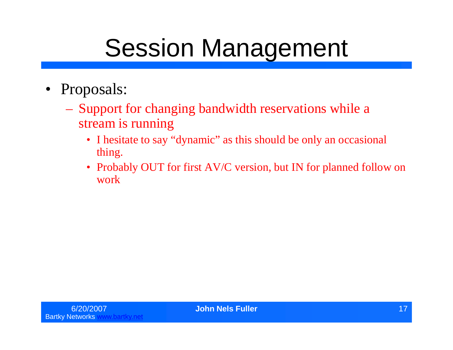- Proposals:
	- Support for changing bandwidth reservations while a stream is running
		- I hesitate to say "dynamic" as this should be only an occasional thing.
		- Probably OUT for first AV/C version, but IN for planned follow on work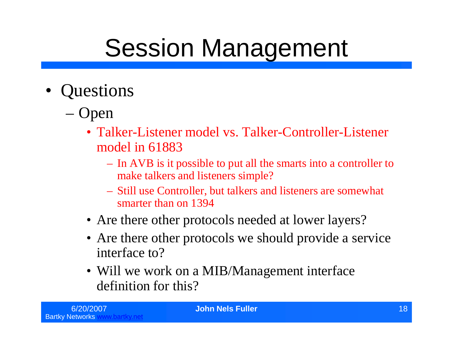- •Questions
	- –Open
		- Talker-Listener model vs. Talker-Controller-Listener model in 61883
			- –In AVB is it possible to put all the smarts into a controller to make talkers and listeners simple?
			- –Still use Controller, but talkers and listeners are somewhat smarter than on 1394
		- Are there other protocols needed at lower layers?
		- Are there other protocols we should provide a service interface to?
		- Will we work on a MIB/Management interface definition for this?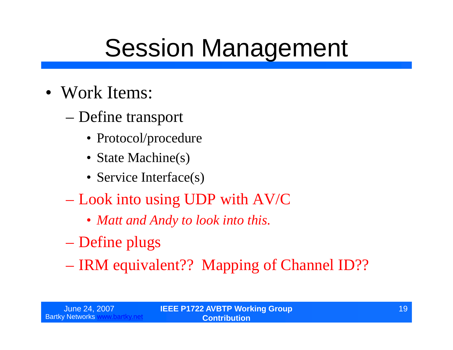- Work Items:
	- –Define transport
		- Protocol/procedure
		- State Machine(s)
		- Service Interface(s)
	- –Look into using UDP with AV/C
		- •*Matt and Andy to look into this.*
	- –Define plugs
	- –IRM equivalent?? Mapping of Channel ID??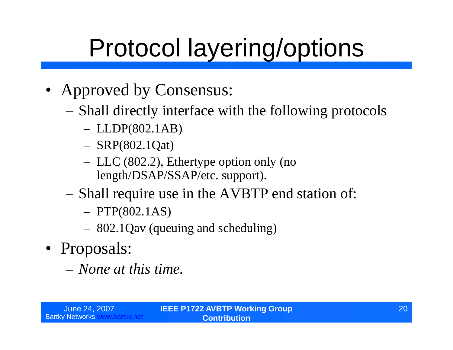# Protocol layering/options

- Approved by Consensus:
	- –Shall directly interface with the following protocols
		- LLDP(802.1AB)
		- SRP(802.1Qat)
		- LLC (802.2), Ethertype option only (no length/DSAP/SSAP/etc. support).
	- –Shall require use in the AVBTP end station of:
		- $-$  PTP(802.1AS)
		- 802.1Qav (queuing and scheduling)
- Proposals:
	- –*None at this time.*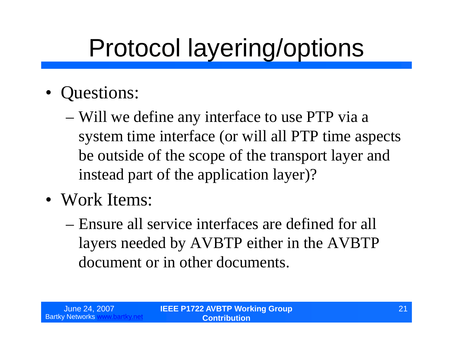# Protocol layering/options

- Questions:
	- –Will we define any interface to use PTP via a system time interface (or will all PTP time aspects be outside of the scope of the transport layer and instead part of the application layer)?
- Work Items:
	- –Ensure all service interfaces are defined for all layers needed by AVBTP either in the AVBTP document or in other documents.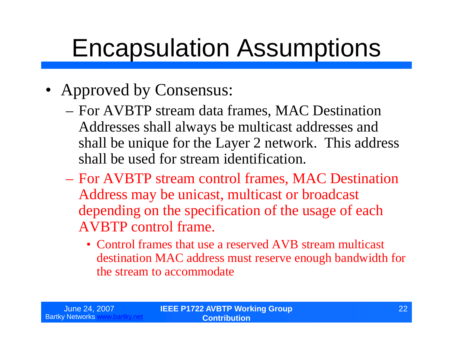- Approved by Consensus:
	- –For AVBTP stream data frames, MAC Destination Addresses shall always be multicast addresses and shall be unique for the Layer 2 network. This address shall be used for stream identification.
	- –For AVBTP stream control frames, MAC Destination Address may be unicast, multicast or broadcast depending on the specification of the usage of each AVBTP control frame.
		- Control frames that use a reserved AVB stream multicast destination MAC address must reserve enough bandwidth for the stream to accommodate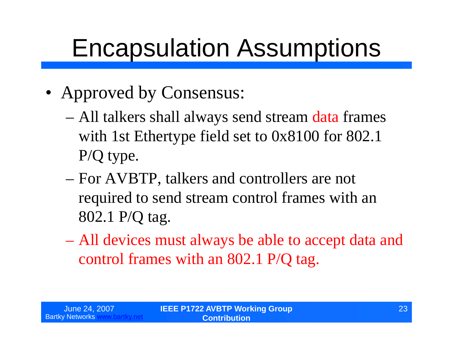- Approved by Consensus:
	- –All talkers shall always send stream data frames with 1st Ethertype field set to 0x8100 for 802.1 P/Q type.
	- –For AVBTP, talkers and controllers are not required to send stream control frames with an 802.1 P/Q tag.
	- –All devices must always be able to accept data and control frames with an 802.1 P/Q tag.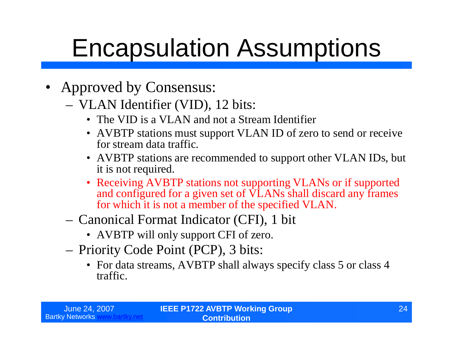- Approved by Consensus:
	- VLAN Identifier (VID), 12 bits:
		- The VID is a VLAN and not a Stream Identifier
		- AVBTP stations must support VLAN ID of zero to send or receive for stream data traffic.
		- AVBTP stations are recommended to support other VLAN IDs, but it is not required.
		- Receiving AVBTP stations not supporting VLANs or if supported and configured for a given set of VLANs shall discard any frames for which it is not a member of the specified VLAN.
	- Canonical Format Indicator (CFI), 1 bit
		- AVBTP will only support CFI of zero.
	- Priority Code Point (PCP), 3 bits:
		- For data streams, AVBTP shall always specify class 5 or class 4 traffic.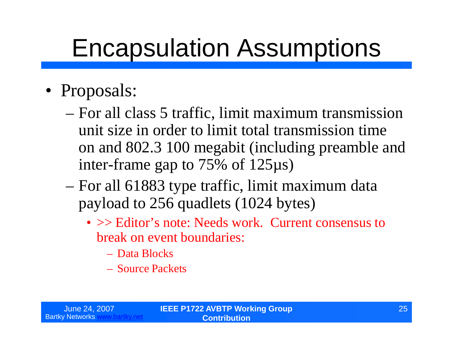- Proposals:
	- –For all class 5 traffic, limit maximum transmission unit size in order to limit total transmission time on and 802.3 100 megabit (including preamble and inter-frame gap to 75% of 125µs)
	- –For all 61883 type traffic, limit maximum data payload to 256 quadlets (1024 bytes)
		- >> Editor's note: Needs work. Current consensus to break on event boundaries:
			- –Data Blocks
			- –Source Packets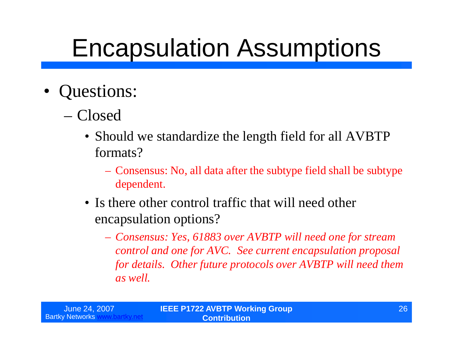- •Questions:
	- –Closed
		- Should we standardize the length field for all AVBTP formats?
			- –Consensus: No, all data after the subtype field shall be subtype dependent.
		- Is there other control traffic that will need other encapsulation options?
			- –*Consensus: Yes, 61883 over AVBTP will need one for stream control and one for AVC. See current encapsulation proposal for details. Other future protocols over AVBTP will need them as well.*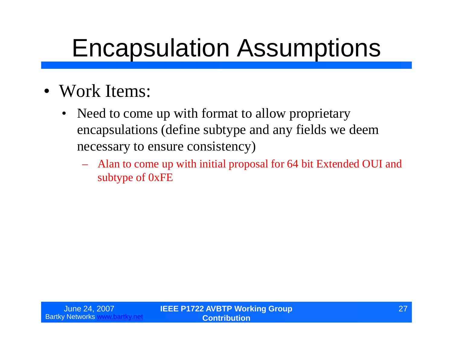- Work Items:
	- Need to come up with format to allow proprietary encapsulations (define subtype and any fields we deem necessary to ensure consistency)
		- Alan to come up with initial proposal for 64 bit Extended OUI and subtype of 0xFE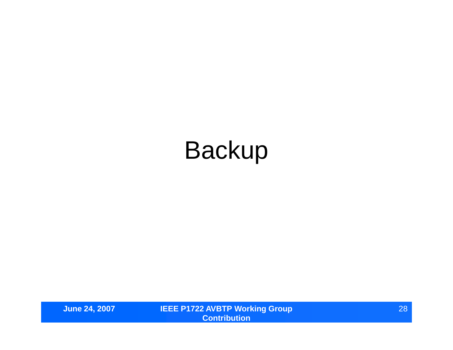#### Backup

**June 24, 2007 IEEE P1722 AVBTP Working Group Contribution**

28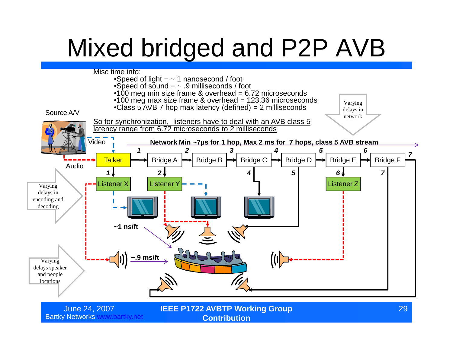#### Mixed bridged and P2P AVB